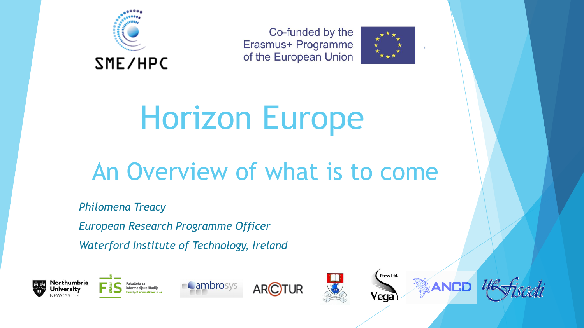

Co-funded by the Erasmus+ Programme of the European Union



## Horizon Europe

### An Overview of what is to come

*Philomena Treacy*

*European Research Programme Officer Waterford Institute of Technology, Ireland*











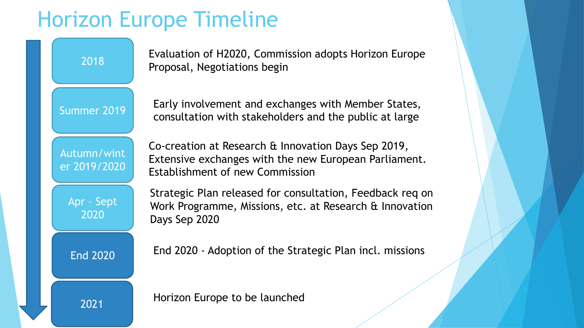### Horizon Europe Timeline

Evaluation of H2020, Commission adopts Horizon Europe Proposal, Negotiations begin

2018

Early involvement and exchanges with Member States, Summer 2019 | Larty involvement and exertanges with member states,

Autumn/wint er 2019/2020

Co-creation at Research & Innovation Days Sep 2019, Extensive exchanges with the new European Parliament. Establishment of new Commission

Apr – Sept 2020

Strategic Plan released for consultation, Feedback req on Work Programme, Missions, etc. at Research & Innovation Days Sep 2020

End 2020

End 2020 - Adoption of the Strategic Plan incl. missions

2021 Horizon Europe to be launched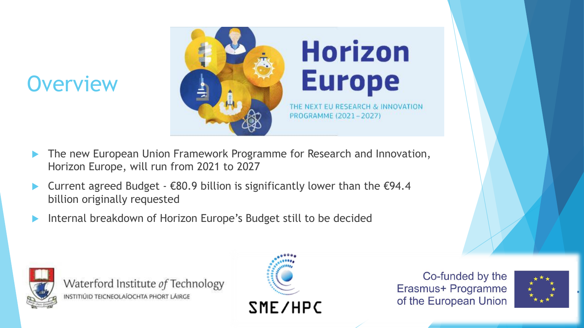### **Overview**



- The new European Union Framework Programme for Research and Innovation, Horizon Europe, will run from 2021 to 2027
- Current agreed Budget  $\epsilon$ 80.9 billion is significantly lower than the  $\epsilon$ 94.4 billion originally requested
- Internal breakdown of Horizon Europe's Budget still to be decided



Waterford Institute of Technology INSTITIÚID TEICNEOLAÍOCHTA PHORT LÁIRGE



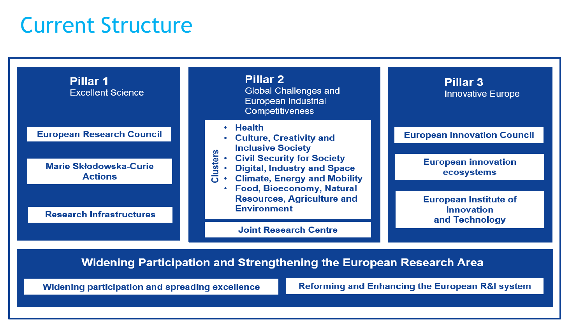### Current Structure



**Widening Participation and Strengthening the European Research Area** 

Widening participation and spreading excellence

**Reforming and Enhancing the European R&I system**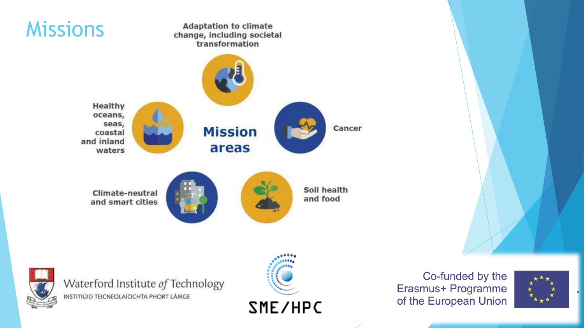

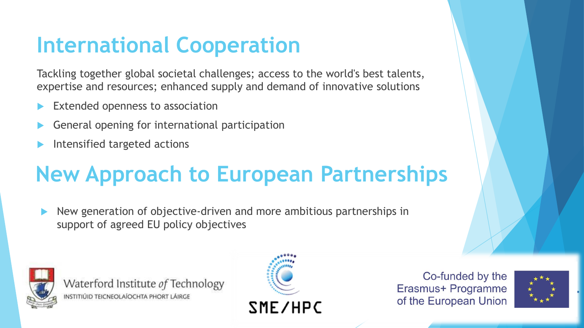### **International Cooperation**

Tackling together global societal challenges; access to the world's best talents, expertise and resources; enhanced supply and demand of innovative solutions

- Extended openness to association
- General opening for international participation
- Intensified targeted actions

### **New Approach to European Partnerships**

 New generation of objective-driven and more ambitious partnerships in support of agreed EU policy objectives



Waterford Institute of Technology INSTITIÚID TEICNEOLAÍOCHTA PHORT LÁIRGE



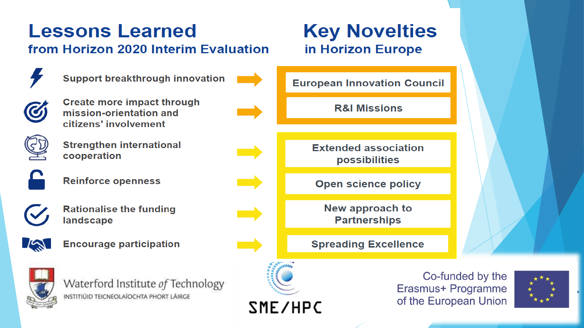### **Lessons Learned**

#### from Horizon 2020 Interim Evaluation

**Support breakthrough innovation** 



**Create more impact through** mission-orientation and citizens' involvement



**Strengthen international** cooperation

**Reinforce openness** 



 $I^{\prime}$ 

**Rationalise the funding** landscape

**Encourage participation** 



Waterford Institute of Technology INSTITIÚID TEICNEOLAÍOCHTA PHORT LÁIRGE

#### **Key Novelties** in Horizon Europe

**European Innovation Council** 

**R&I Missions** 

**Extended association** possibilities

**Open science policy** 

New approach to **Partnerships** 

**Spreading Excellence** 



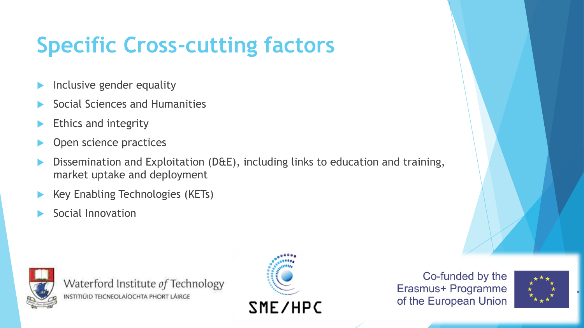### **Specific Cross-cutting factors**

- Inclusive gender equality
- Social Sciences and Humanities
- Ethics and integrity
- Open science practices
- Dissemination and Exploitation (D&E), including links to education and training, market uptake and deployment
- Key Enabling Technologies (KETs)
- Social Innovation



Waterford Institute of Technology INSTITIÚID TEICNEOLAÍOCHTA PHORT LÁIRGE





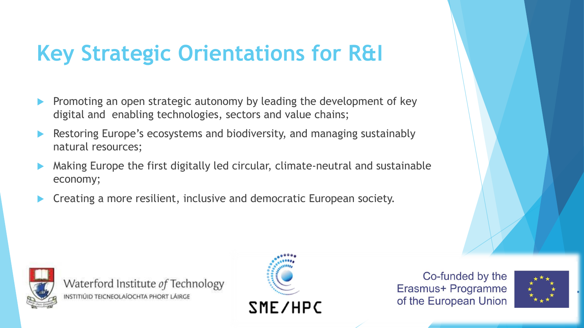### **Key Strategic Orientations for R&I**

- Promoting an open strategic autonomy by leading the development of key digital and enabling technologies, sectors and value chains;
- Restoring Europe's ecosystems and biodiversity, and managing sustainably natural resources;
- Making Europe the first digitally led circular, climate-neutral and sustainable economy;
- Creating a more resilient, inclusive and democratic European society.



Waterford Institute of Technology INSTITIÚID TEICNEOLAÍOCHTA PHORT LÁIRGE



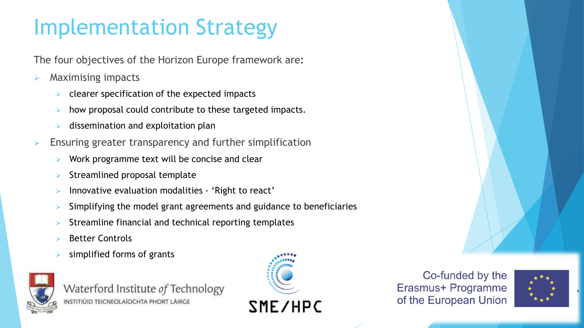### Implementation Strategy

The four objectives of the Horizon Europe framework are**:** 

- Maximising impacts
	- clearer specification of the expected impacts
	- how proposal could contribute to these targeted impacts.
	- dissemination and exploitation plan
- Ensuring greater transparency and further simplification
	- Work programme text will be concise and clear
	- Streamlined proposal template
	- Innovative evaluation modalities 'Right to react'
	- Simplifying the model grant agreements and guidance to beneficiaries
	- Streamline financial and technical reporting templates
	- Better Controls
	- simplified forms of grants



Waterford Institute of Technology INSTITIÚID TEICNEOLAÍOCHTA PHORT LÁIRGE



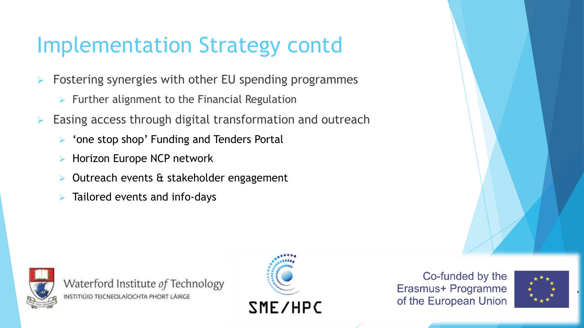### Implementation Strategy contd

- Fostering synergies with other EU spending programmes
	- $\triangleright$  Further alignment to the Financial Regulation
- Easing access through digital transformation and outreach
	- $\triangleright$  'one stop shop' Funding and Tenders Portal
	- Horizon Europe NCP network
	- Outreach events & stakeholder engagement
	- Tailored events and info-days



Waterford Institute of Technology INSTITIÚID TEICNEOLAÍOCHTA PHORT LÁIRGE





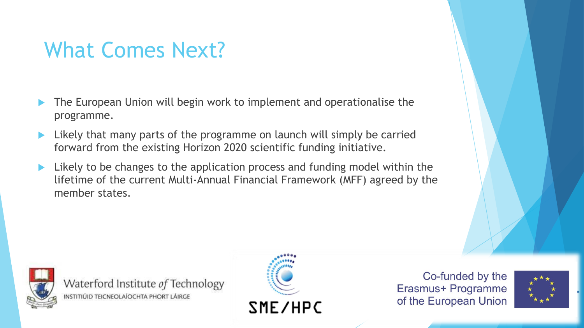### What Comes Next?

- The European Union will begin work to implement and operationalise the programme.
- Likely that many parts of the programme on launch will simply be carried forward from the existing Horizon 2020 scientific funding initiative.
- Likely to be changes to the application process and funding model within the lifetime of the current Multi-Annual Financial Framework (MFF) agreed by the member states.



Waterford Institute of Technology INSTITIÚID TEICNEOLAÍOCHTA PHORT LÁIRGE